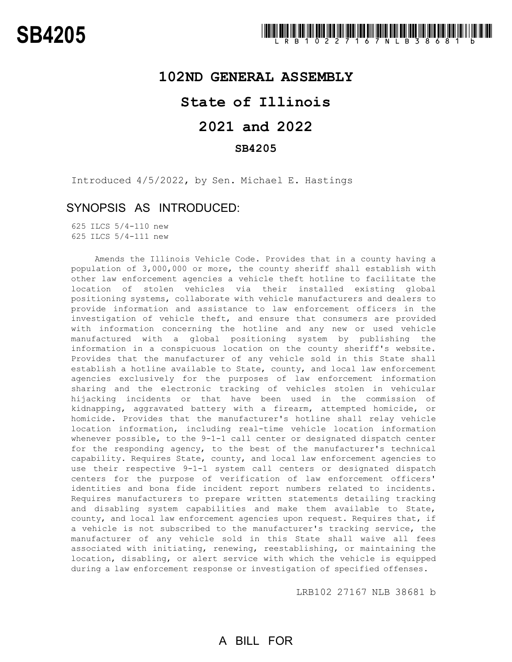### **102ND GENERAL ASSEMBLY**

## **State of Illinois**

# **2021 and 2022**

### **SB4205**

Introduced 4/5/2022, by Sen. Michael E. Hastings

### SYNOPSIS AS INTRODUCED:

625 ILCS 5/4-110 new 625 ILCS 5/4-111 new

Amends the Illinois Vehicle Code. Provides that in a county having a population of 3,000,000 or more, the county sheriff shall establish with other law enforcement agencies a vehicle theft hotline to facilitate the location of stolen vehicles via their installed existing global positioning systems, collaborate with vehicle manufacturers and dealers to provide information and assistance to law enforcement officers in the investigation of vehicle theft, and ensure that consumers are provided with information concerning the hotline and any new or used vehicle manufactured with a global positioning system by publishing the information in a conspicuous location on the county sheriff's website. Provides that the manufacturer of any vehicle sold in this State shall establish a hotline available to State, county, and local law enforcement agencies exclusively for the purposes of law enforcement information sharing and the electronic tracking of vehicles stolen in vehicular hijacking incidents or that have been used in the commission of kidnapping, aggravated battery with a firearm, attempted homicide, or homicide. Provides that the manufacturer's hotline shall relay vehicle location information, including real-time vehicle location information whenever possible, to the 9-1-1 call center or designated dispatch center for the responding agency, to the best of the manufacturer's technical capability. Requires State, county, and local law enforcement agencies to use their respective 9-1-1 system call centers or designated dispatch centers for the purpose of verification of law enforcement officers' identities and bona fide incident report numbers related to incidents. Requires manufacturers to prepare written statements detailing tracking and disabling system capabilities and make them available to State, county, and local law enforcement agencies upon request. Requires that, if a vehicle is not subscribed to the manufacturer's tracking service, the manufacturer of any vehicle sold in this State shall waive all fees associated with initiating, renewing, reestablishing, or maintaining the location, disabling, or alert service with which the vehicle is equipped during a law enforcement response or investigation of specified offenses.

LRB102 27167 NLB 38681 b

# A BILL FOR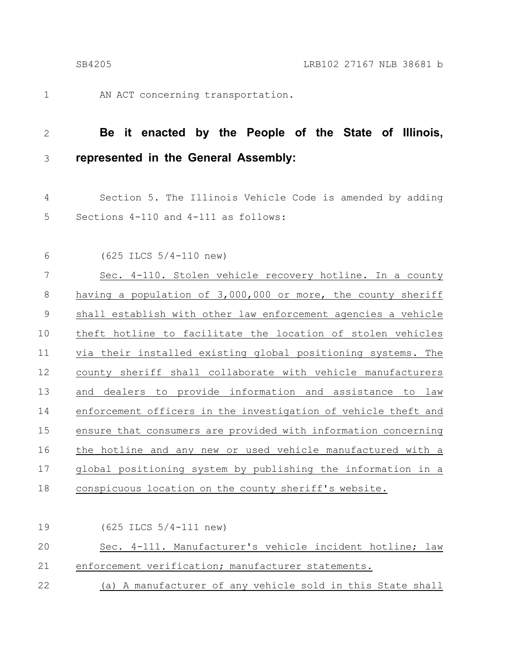1

AN ACT concerning transportation.

#### **Be it enacted by the People of the State of Illinois, represented in the General Assembly:** 2 3

Section 5. The Illinois Vehicle Code is amended by adding Sections 4-110 and 4-111 as follows: 4 5

(625 ILCS 5/4-110 new) 6

Sec. 4-110. Stolen vehicle recovery hotline. In a county having a population of 3,000,000 or more, the county sheriff shall establish with other law enforcement agencies a vehicle theft hotline to facilitate the location of stolen vehicles via their installed existing global positioning systems. The county sheriff shall collaborate with vehicle manufacturers and dealers to provide information and assistance to law enforcement officers in the investigation of vehicle theft and ensure that consumers are provided with information concerning the hotline and any new or used vehicle manufactured with a global positioning system by publishing the information in a conspicuous location on the county sheriff's website. 7 8 9 10 11 12 13 14 15 16 17 18

(625 ILCS 5/4-111 new) Sec. 4-111. Manufacturer's vehicle incident hotline; law enforcement verification; manufacturer statements. (a) A manufacturer of any vehicle sold in this State shall 19 20 21 22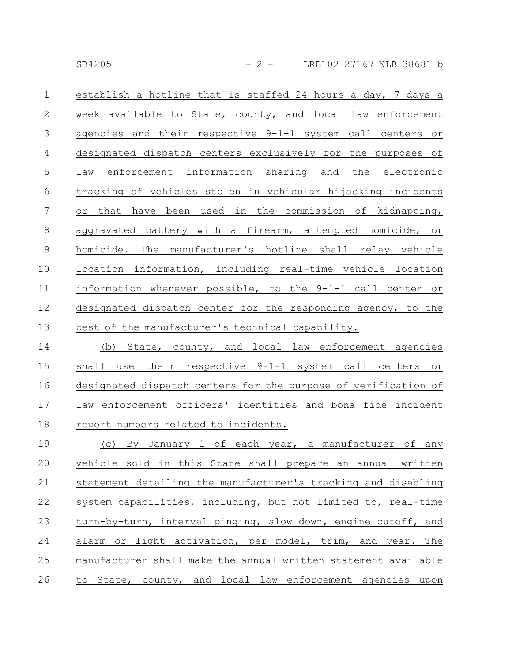establish a hotline that is staffed 24 hours a day, 7 days a week available to State, county, and local law enforcement agencies and their respective 9-1-1 system call centers or designated dispatch centers exclusively for the purposes of law enforcement information sharing and the electronic tracking of vehicles stolen in vehicular hijacking incidents or that have been used in the commission of kidnapping, aggravated battery with a firearm, attempted homicide, or homicide. The manufacturer's hotline shall relay vehicle location information, including real-time vehicle location information whenever possible, to the 9-1-1 call center or designated dispatch center for the responding agency, to the best of the manufacturer's technical capability. 1 2 3 4 5 6 7 8 9 10 11 12 13

(b) State, county, and local law enforcement agencies shall use their respective 9-1-1 system call centers or designated dispatch centers for the purpose of verification of law enforcement officers' identities and bona fide incident report numbers related to incidents. 14 15 16 17 18

(c) By January 1 of each year, a manufacturer of any vehicle sold in this State shall prepare an annual written statement detailing the manufacturer's tracking and disabling system capabilities, including, but not limited to, real-time turn-by-turn, interval pinging, slow down, engine cutoff, and alarm or light activation, per model, trim, and year. The manufacturer shall make the annual written statement available to State, county, and local law enforcement agencies upon 19 20 21 22 23 24 25 26